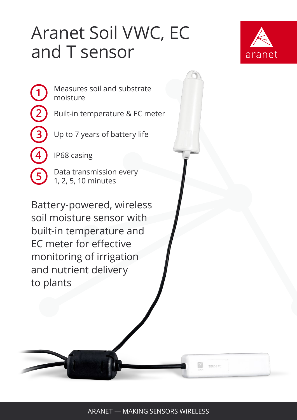## Aranet Soil VWC, EC and T sensor



Measures soil and substrate moisture

Built-in temperature & EC meter

Up to 7 years of battery life

IP68 casing

**1**

**2**

**3**

**4**

**5**

Data transmission every 1, 2, 5, 10 minutes

Battery-powered, wireless soil moisture sensor with built-in temperature and EC meter for effective monitoring of irrigation and nutrient delivery to plants

TEROS 12